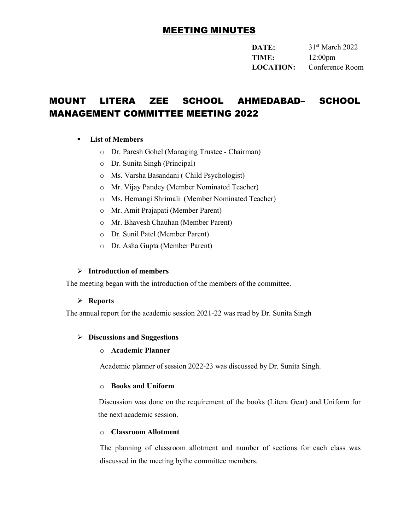# MEETING MINUTES

DATE: 31<sup>st</sup> March 2022 TIME: 12:00pm LOCATION: Conference Room

# MOUNT LITERA ZEE SCHOOL AHMEDABAD– SCHOOL MANAGEMENT COMMITTEE MEETING 2022

## List of Members

- o Dr. Paresh Gohel (Managing Trustee Chairman)
- o Dr. Sunita Singh (Principal)
- o Ms. Varsha Basandani ( Child Psychologist)
- o Mr. Vijay Pandey (Member Nominated Teacher)
- o Ms. Hemangi Shrimali (Member Nominated Teacher)
- o Mr. Amit Prajapati (Member Parent)
- o Mr. Bhavesh Chauhan (Member Parent)
- o Dr. Sunil Patel (Member Parent)
- o Dr. Asha Gupta (Member Parent)

#### $\triangleright$  Introduction of members

The meeting began with the introduction of the members of the committee.

#### $\triangleright$  Reports

The annual report for the academic session 2021-22 was read by Dr. Sunita Singh

#### $\triangleright$  Discussions and Suggestions

#### o Academic Planner

Academic planner of session 2022-23 was discussed by Dr. Sunita Singh.

#### o Books and Uniform

Discussion was done on the requirement of the books (Litera Gear) and Uniform for the next academic session.

#### o Classroom Allotment

The planning of classroom allotment and number of sections for each class was discussed in the meeting by the committee members.